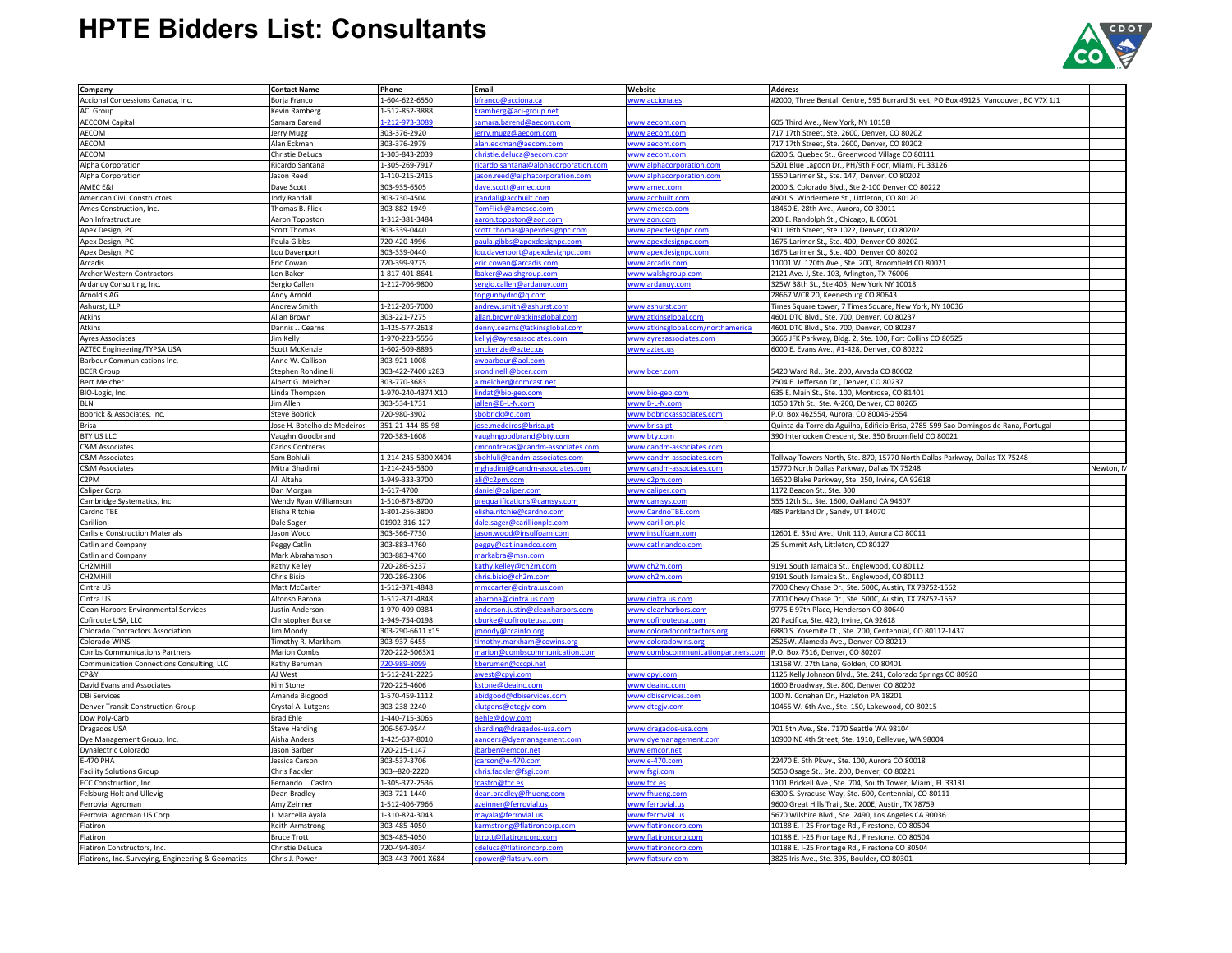| <b>Company</b>                                                                    | <b>Contact Name</b>               | Phone                             | Email                                          | Website                                  | <b>Address</b>                                                                                           |           |
|-----------------------------------------------------------------------------------|-----------------------------------|-----------------------------------|------------------------------------------------|------------------------------------------|----------------------------------------------------------------------------------------------------------|-----------|
| Accional Concessions Canada, Inc.                                                 | Borja Franco                      | 1-604-622-6550                    | ofranco@acciona.ca                             | www.acciona.es                           | #2000, Three Bentall Centre, 595 Burrard Street, PO Box 49125, Vancouver, BC V7X 1J1                     |           |
| <b>ACI Group</b>                                                                  | <b>Kevin Ramberg</b>              | 1-512-852-3888                    | kramberg@aci-group.net                         |                                          |                                                                                                          |           |
| <b>AECCOM Capital</b>                                                             | Samara Barend                     | 1-212-973-3089                    | amara.barend@aecom.com                         | www.aecom.com                            | 605 Third Ave., New York, NY 10158                                                                       |           |
| AECOM                                                                             | Jerry Mugg                        | 303-376-2920                      | erry.mugg@aecom.com                            | www.aecom.com                            | 717 17th Street, Ste. 2600, Denver, CO 80202                                                             |           |
| <b>AECOM</b>                                                                      | Alan Eckman                       | 303-376-2979                      | alan.eckman@aecom.com                          | www.aecom.com                            | 717 17th Street, Ste. 2600, Denver, CO 80202                                                             |           |
| AECOM                                                                             | Christie DeLuca                   | 1-303-843-2039                    | christie.deluca@aecom.com                      | www.aecom.com                            | 6200 S. Quebec St., Greenwood Village CO 80111                                                           |           |
| Alpha Corporation                                                                 | Ricardo Santana                   | 1-305-269-7917                    | icardo.santana@alphacorporation.com            | www.alphacorporation.com                 | 5201 Blue Lagoon Dr., PH/9th Floor, Miami, FL 33126                                                      |           |
|                                                                                   | Jason Reed                        | 1-410-215-2415                    |                                                |                                          |                                                                                                          |           |
| Alpha Corporation                                                                 |                                   |                                   | ason.reed@alphacorporation.com                 | www.alphacorporation.com                 | 1550 Larimer St., Ste. 147, Denver, CO 80202                                                             |           |
| AMEC E&I                                                                          | Dave Scott                        | 303-935-6505                      | dave.scott@amec.com                            | www.amec.com                             | 2000 S. Colorado Blvd., Ste 2-100 Denver CO 80222                                                        |           |
| American Civil Constructors                                                       | Jody Randall                      | 303-730-4504                      | randall@accbuilt.com                           | www.accbuilt.com                         | 4901 S. Windermere St., Littleton, CO 80120                                                              |           |
| Ames Construction, Inc.                                                           | Thomas B. Flick                   | 303-882-1949                      | TomFlick@amesco.com                            | www.amesco.com                           | 18450 E. 28th Ave., Aurora, CO 80011                                                                     |           |
| Aon Infrastructure                                                                | Aaron Toppston                    | 1-312-381-3484                    | aaron.toppston@aon.com                         | www.aon.com                              | 200 E. Randolph St., Chicago, IL 60601                                                                   |           |
| Apex Design, PC                                                                   | <b>Scott Thomas</b>               | 303-339-0440                      | scott.thomas@apexdesignpc.com                  | www.apexdesignpc.com                     | 901 16th Street, Ste 1022, Denver, CO 80202                                                              |           |
| Apex Design, PC                                                                   | Paula Gibbs                       | 720-420-4996                      | paula.gibbs@apexdesignpc.com                   | www.apexdesignpc.com                     | 1675 Larimer St., Ste. 400, Denver CO 80202                                                              |           |
| Apex Design, PC                                                                   | Lou Davenport                     | 303-339-0440                      | ou.davenport@apexdesignpc.com                  | www.apexdesignpc.com                     | 1675 Larimer St., Ste. 400, Denver CO 80202                                                              |           |
| Arcadis                                                                           | Eric Cowan                        | 720-399-9775                      | eric.cowan@arcadis.com                         | www.arcadis.com                          | 11001 W. 120th Ave., Ste. 200, Broomfield CO 80021                                                       |           |
| <b>Archer Western Contractors</b>                                                 | Lon Baker                         | 1-817-401-8641                    | baker@walshgroup.com                           | www.walshgroup.com                       | 2121 Ave. J, Ste. 103, Arlington, TX 76006                                                               |           |
| Ardanuy Consulting, Inc.                                                          | Sergio Callen                     | 1-212-706-9800                    | sergio.callen@ardanuy.com                      | www.ardanuy.com                          | 325W 38th St., Ste 405, New York NY 10018                                                                |           |
| Arnold's AG                                                                       | Andy Arnold                       |                                   | opgunhydro@q.com                               |                                          | 28667 WCR 20, Keenesburg CO 80643                                                                        |           |
| Ashurst, LLP                                                                      | <b>Andrew Smith</b>               | 1-212-205-7000                    | andrew.smith@ashurst.com                       | www.ashurst.com                          | Times Square tower, 7 Times Square, New York, NY 10036                                                   |           |
| Atkins                                                                            | Allan Brown                       | 303-221-7275                      | allan.brown@atkinsglobal.com                   | www.atkinsglobal.com                     | 4601 DTC Blvd., Ste. 700, Denver, CO 80237                                                               |           |
| Atkins                                                                            | Dannis J. Cearns                  | 1-425-577-2618                    | denny.cearns@atkinsglobal.com                  | www.atkinsglobal.com/northamerica        | 4601 DTC Blvd., Ste. 700, Denver, CO 80237                                                               |           |
| Ayres Associates                                                                  | Jim Kelly                         | 1-970-223-5556                    | kellyj@ayresassociates.com                     | www.ayresassociates.com                  | 3665 JFK Parkway, Bldg. 2, Ste. 100, Fort Collins CO 80525                                               |           |
| AZTEC Engineering/TYPSA USA                                                       | Scott McKenzie                    | 1-602-509-8895                    | smckenzie@aztec.us                             | www.aztec.us                             | 6000 E. Evans Ave., #1-428, Denver, CO 80222                                                             |           |
| Barbour Communications Inc.                                                       | Anne W. Callison                  | 303-921-1008                      | awbarbour@aol.com                              |                                          |                                                                                                          |           |
| <b>BCER Group</b>                                                                 | Stephen Rondinelli                | 303-422-7400 x283                 | srondinelli@bcer.com                           | www.bcer.com                             | 5420 Ward Rd., Ste. 200, Arvada CO 80002                                                                 |           |
| <b>Bert Melcher</b>                                                               | Albert G. Melcher                 | 303-770-3683                      | a.melcher@comcast.net                          |                                          | 7504 E. Jefferson Dr., Denver, CO 80237                                                                  |           |
|                                                                                   |                                   | 1-970-240-4374 X10                |                                                |                                          |                                                                                                          |           |
| BIO-Logic, Inc.                                                                   | Linda Thompson                    |                                   | indat@bio-geo.com                              | www.bio-geo.com                          | 635 E. Main St., Ste. 100, Montrose, CO 81401                                                            |           |
| <b>BLN</b>                                                                        | lim Allen                         | 303-534-1731                      | allen@B-L-N.com                                | www.B-L-N.com                            | 1050 17th St., Ste. A-200, Denver, CO 80265                                                              |           |
| Bobrick & Associates, Inc.                                                        | <b>Steve Bobrick</b>              | 720-980-3902                      | sbobrick@q.com                                 | www.bobrickassociates.com                | P.O. Box 462554, Aurora, CO 80046-2554                                                                   |           |
| <b>Brisa</b>                                                                      | Jose H. Botelho de Medeiros       | 351-21-444-85-98                  | jose.medeiros@brisa.pt                         | www.brisa.pt                             | Quinta da Torre da Aguilha, Edificio Brisa, 2785-599 Sao Domingos de Rana, Portugal                      |           |
| <b>BTY US LLC</b>                                                                 | Vaughn Goodbrand                  | 720-383-1608                      | aughngoodbrand@bty.com                         | www.bty.com                              | 390 Interlocken Crescent, Ste. 350 Broomfield CO 80021                                                   |           |
| C&M Associates                                                                    | Carlos Contreras                  |                                   | cmcontreras@candm-associates.com               | www.candm-associates.com                 |                                                                                                          |           |
| C&M Associates                                                                    | Sam Bohluli                       | 1-214-245-5300 X404               | bohluli@candm-associates.com                   | www.candm-associates.com                 | Tollway Towers North, Ste. 870, 15770 North Dallas Parkway, Dallas TX 75248                              |           |
| C&M Associates                                                                    | Mitra Ghadimi                     | 1-214-245-5300                    | mghadimi@candm-associates.com                  | www.candm-associates.com                 | 15770 North Dallas Parkway, Dallas TX 75248                                                              | Newton, M |
| C <sub>2</sub> PM                                                                 | Ali Altaha                        | 1-949-333-3700                    | ali@c2pm.com                                   | www.c2pm.com                             | 16520 Blake Parkway, Ste. 250, Irvine, CA 92618                                                          |           |
| Caliper Corp.                                                                     | Dan Morgan                        | 1-617-4700                        | daniel@caliper.com                             | www.caliper.com                          | 1172 Beacon St., Ste. 300                                                                                |           |
|                                                                                   |                                   |                                   |                                                |                                          |                                                                                                          |           |
| Cambridge Systematics, Inc.                                                       | Wendy Ryan Williamson             | 1-510-873-8700                    | prequalifications@camsys.com                   | www.camsys.com                           | 555 12th St., Ste. 1600, Oakland CA 94607                                                                |           |
| Cardno TBE                                                                        | Elisha Ritchie                    | 1-801-256-3800                    | elisha.ritchie@cardno.com                      | www.CardnoTBE.com                        | 485 Parkland Dr., Sandy, UT 84070                                                                        |           |
| Carillion                                                                         |                                   | 01902-316-127                     | dale.sager@carillionplc.com                    | www.carillion.plc                        |                                                                                                          |           |
|                                                                                   | Dale Sager<br>Jason Wood          | 303-366-7730                      | ason.wood@insulfoam.com                        | www.insulfoam.xom                        | 12601 E. 33rd Ave., Unit 110, Aurora CO 80011                                                            |           |
| <b>Carlisle Construction Materials</b>                                            |                                   | 303-883-4760                      |                                                |                                          |                                                                                                          |           |
| Catlin and Company                                                                | Peggy Catlin                      |                                   | oeggy@catlinandco.com                          | www.catlinandco.com                      | 25 Summit Ash, Littleton, CO 80127                                                                       |           |
| Catlin and Company                                                                | Mark Abrahamson                   | 303-883-4760                      | markabra@msn.com                               |                                          |                                                                                                          |           |
| CH2MHill                                                                          | Kathy Kelley                      | 720-286-5237                      | athy.kelley@ch2m.com                           | www.ch2m.com                             | 9191 South Jamaica St., Englewood, CO 80112                                                              |           |
| CH <sub>2</sub> MHill                                                             | Chris Bisio                       | 720-286-2306                      | chris.bisio@ch2m.com                           | www.ch2m.com                             | 9191 South Jamaica St., Englewood, CO 80112                                                              |           |
| Cintra US                                                                         | Matt McCarter                     | 1-512-371-4848                    | nmccarter@cintra.us.com                        |                                          | 7700 Chevy Chase Dr., Ste. 500C, Austin, TX 78752-1562                                                   |           |
| Cintra US                                                                         | Alfonso Barona                    | 1-512-371-4848                    | abarona@cintra.us.com                          | www.cintra.us.com                        | 7700 Chevy Chase Dr., Ste. 500C, Austin, TX 78752-1562                                                   |           |
| <b>Clean Harbors Environmental Services</b>                                       | lustin Anderson                   | 1-970-409-0384                    | anderson.justin@cleanharbors.com               | www.cleanharbors.com                     | 9775 E 97th Place, Henderson CO 80640                                                                    |           |
| Cofiroute USA, LLC                                                                | Christopher Burke                 | 1-949-754-0198                    | cburke@cofirouteusa.com                        | www.cofirouteusa.com                     | 20 Pacifica, Ste. 420, Irvine, CA 92618                                                                  |           |
| Colorado Contractors Association                                                  | Jim Moody                         | 303-290-6611 x15                  | moody@ccainfo.org                              | www.coloradocontractors.org              | 6880 S. Yosemite Ct., Ste. 200, Centennial, CO 80112-1437                                                |           |
| Colorado WINS                                                                     | Timothy R. Markham                | 303-937-6455                      | imothy.markham@cowins.org                      | www.coloradowins.org                     | 2525W. Alameda Ave., Denver CO 80219                                                                     |           |
| Combs Communications Partners                                                     | <b>Marion Combs</b>               | 720-222-5063X1                    | marion@combscommunication.com                  | www.combscommunicationpartners.com       | P.O. Box 7516, Denver, CO 80207                                                                          |           |
| Communication Connections Consulting, LLC                                         | Kathy Beruman                     | 720-989-8099                      | kberumen@cccpi.net                             |                                          | 13168 W. 27th Lane, Golden, CO 80401                                                                     |           |
| CP&Y                                                                              | AJ West                           | 1-512-241-2225                    | awest@cpyi.com                                 | www.cpyi.com                             | 1125 Kelly Johnson Blvd., Ste. 241, Colorado Springs CO 80920                                            |           |
| David Evans and Associates                                                        | Kim Stone                         | 720-225-4606                      | cstone@deainc.com                              | www.deainc.com                           | 1600 Broadway, Ste. 800, Denver CO 80202                                                                 |           |
| <b>DBi Services</b>                                                               | Amanda Bidgood                    | 1-570-459-1112                    | abidgood@dbiservices.com                       | www.dbiservices.com                      | 100 N. Conahan Dr., Hazleton PA 18201                                                                    |           |
| Denver Transit Construction Group                                                 | Crystal A. Lutgens                | 303-238-2240                      | clutgens@dtcgjv.com                            | www.dtcgjv.com                           | 10455 W. 6th Ave., Ste. 150, Lakewood, CO 80215                                                          |           |
| Dow Poly-Carb                                                                     | <b>Brad Ehle</b>                  | 1-440-715-3065                    | Behle@dow.com                                  |                                          |                                                                                                          |           |
| Dragados USA                                                                      | <b>Steve Harding</b>              | 206-567-9544                      | sharding@dragados-usa.com                      | www.dragados-usa.com                     | 701 5th Ave., Ste. 7170 Seattle WA 98104                                                                 |           |
| Dye Management Group, Inc.                                                        | Aisha Anders                      | 1-425-637-8010                    | aanders@dyemanagement.com                      | www.dyemanagement.com                    | 10900 NE 4th Street, Ste. 1910, Bellevue, WA 98004                                                       |           |
| Dynalectric Colorado                                                              | Jason Barber                      | 720-215-1147                      | jbarber@emcor.net                              | www.emcor.net                            |                                                                                                          |           |
| <b>E-470 PHA</b>                                                                  | Jessica Carson                    | 303-537-3706                      | carson@e-470.com                               | www.e-470.com                            | 22470 E. 6th Pkwy., Ste. 100, Aurora CO 80018                                                            |           |
|                                                                                   | Chris Fackler                     |                                   | chris.fackler@fsgi.com                         |                                          |                                                                                                          |           |
| <b>Facility Solutions Group</b>                                                   | Fernando J. Castro                | 303--820-2220<br>1-305-372-2536   | fcastro@fcc.es                                 | www.fsgi.com                             | 5050 Osage St., Ste. 200, Denver, CO 80221<br>1101 Brickell Ave., Ste. 704, South Tower, Miami, FL 33131 |           |
| FCC Construction, Inc.                                                            |                                   |                                   |                                                | www.fcc.es                               |                                                                                                          |           |
| <b>Felsburg Holt and Ullevig</b>                                                  | Dean Bradley                      | 303-721-1440                      | dean.bradley@fhueng.com                        | www.fhueng.com                           | 6300 S. Syracuse Way, Ste. 600, Centennial, CO 80111                                                     |           |
| Ferrovial Agroman                                                                 | Amy Zeinner                       | 1-512-406-7966                    | azeinner@ferrovial.us                          | www.ferrovial.us                         | 9600 Great Hills Trail, Ste. 200E, Austin, TX 78759                                                      |           |
| Ferrovial Agroman US Corp.                                                        | . Marcella Ayala                  | 1-310-824-3043                    | mayala@ferrovial.us                            | www.ferrovial.us                         | 5670 Wilshire Blvd., Ste. 2490, Los Angeles CA 90036                                                     |           |
| Flatiron                                                                          | Keith Armstrong                   | 303-485-4050                      | carmstrong@flatironcorp.com                    | www.flatironcorp.com                     | 10188 E. I-25 Frontage Rd., Firestone, CO 80504                                                          |           |
| Flatiron                                                                          | <b>Bruce Trott</b>                | 303-485-4050                      | btrott@flatironcorp.com                        | www.flatironcorp.com                     | 10188 E. I-25 Frontage Rd., Firestone, CO 80504                                                          |           |
| Flatiron Constructors, Inc.<br>Flatirons, Inc. Surveying, Engineering & Geomatics | Christie DeLuca<br>Chris J. Power | 720-494-8034<br>303-443-7001 X684 | deluca@flatironcorp.com<br>cpower@flatsurv.com | www.flatironcorp.com<br>www.flatsurv.com | 10188 E. I-25 Frontage Rd., Firestone CO 80504<br>3825 Iris Ave., Ste. 395, Boulder, CO 80301            |           |



### **HPTE Bidders List: Consultants**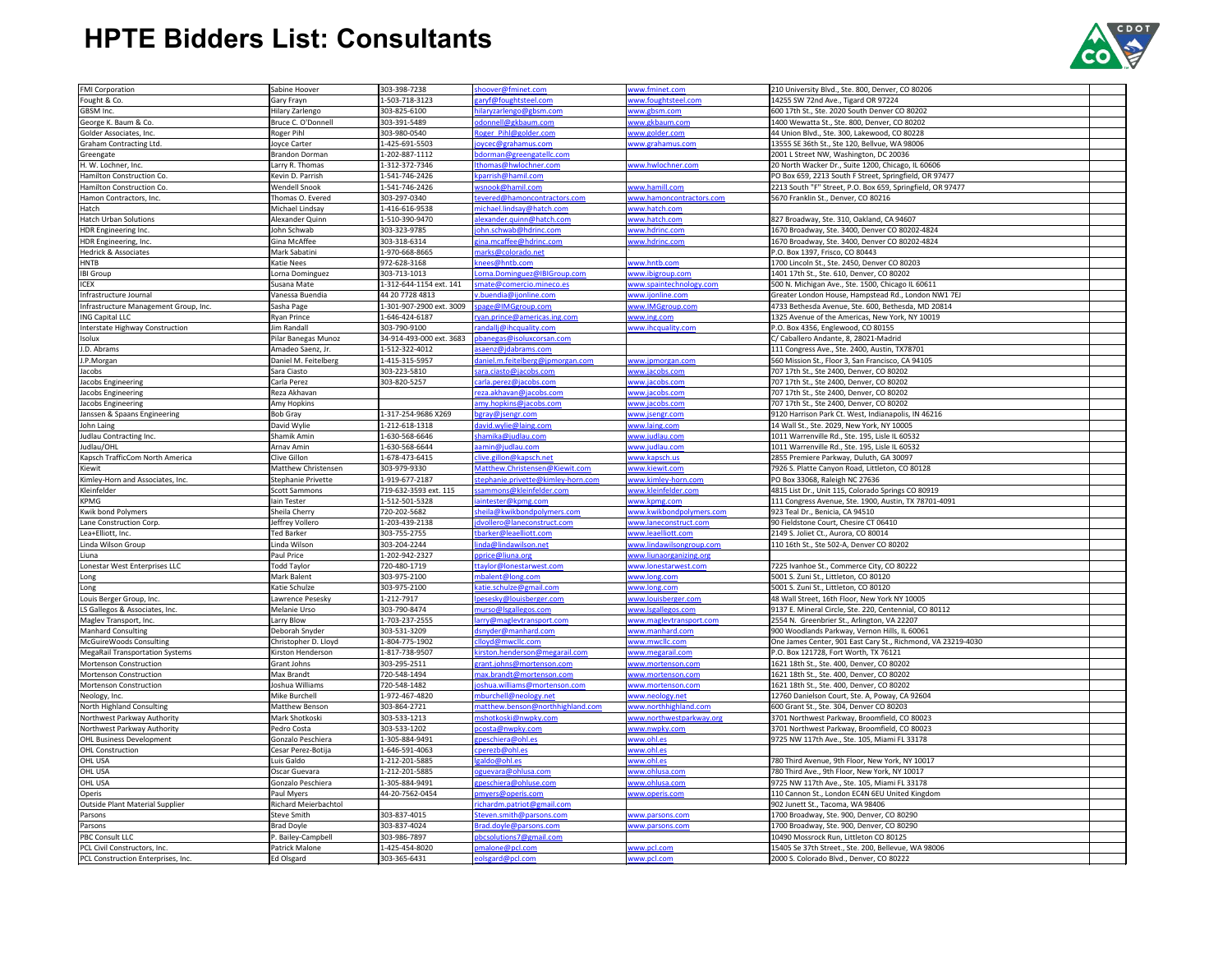| <b>FMI Corporation</b>                                             | Sabine Hoover                  | 303-398-7238                   | shoover@fminet.com                  | www.fminet.com             | 210 University Blvd., Ste. 800, Denver, CO 80206                                                |  |
|--------------------------------------------------------------------|--------------------------------|--------------------------------|-------------------------------------|----------------------------|-------------------------------------------------------------------------------------------------|--|
| Fought & Co.                                                       | Gary Frayn                     | 1-503-718-3123                 | zaryf@foughtsteel.com               | www.foughtsteel.com        | 14255 SW 72nd Ave., Tigard OR 97224                                                             |  |
|                                                                    |                                |                                |                                     |                            |                                                                                                 |  |
| GBSM Inc.                                                          | Hilary Zarlengo                | 303-825-6100                   | hilaryzarlengo@gbsm.com             | www.gbsm.com               | 600 17th St., Ste. 2020 South Denver CO 80202                                                   |  |
| George K. Baum & Co.                                               | Bruce C. O'Donnell             | 303-391-5489                   | odonnell@gkbaum.com                 | www.gkbaum.com             | 1400 Wewatta St., Ste. 800, Denver, CO 80202                                                    |  |
| Golder Associates, Inc.                                            | Roger Pihl                     | 303-980-0540                   | Roger Pihl@golder.com               | www.golder.com             | 44 Union Blvd., Ste. 300, Lakewood, CO 80228                                                    |  |
| Graham Contracting Ltd.                                            | Joyce Carter                   | 1-425-691-5503                 | joycec@grahamus.com                 | www.grahamus.com           | 13555 SE 36th St., Ste 120, Bellvue, WA 98006                                                   |  |
| Greengate                                                          | <b>Brandon Dorman</b>          | 1-202-887-1112                 | bdorman@greengatellc.com            |                            | 2001 L Street NW, Washington, DC 20036                                                          |  |
| H. W. Lochner, Inc.                                                | arry R. Thomas                 | 1-312-372-7346                 | Ithomas@hwlochner.com               | www.hwlochner.com          | 20 North Wacker Dr., Suite 1200, Chicago, IL 60606                                              |  |
| Hamilton Construction Co.                                          | Kevin D. Parrish               | 1-541-746-2426                 | cparrish@hamil.com                  |                            | PO Box 659, 2213 South F Street, Springfield, OR 97477                                          |  |
| Hamilton Construction Co.                                          | <b>Wendell Snook</b>           | 1-541-746-2426                 | wsnook@hamil.com                    | www.hamill.com             | 2213 South "F" Street, P.O. Box 659, Springfield, OR 97477                                      |  |
| Hamon Contractors, Inc.                                            | Thomas O. Evered               | 303-297-0340                   | tevered@hamoncontractors.com        | www.hamoncontractors.com   | 5670 Franklin St., Denver, CO 80216                                                             |  |
| Hatch                                                              | Michael Lindsay                | 1-416-616-9538                 | michael.lindsay@hatch.com           | www.hatch.com              |                                                                                                 |  |
|                                                                    |                                |                                |                                     |                            |                                                                                                 |  |
| <b>Hatch Urban Solutions</b>                                       | Alexander Quinn                | 1-510-390-9470                 | alexander.quinn@hatch.com           | www.hatch.com              | 827 Broadway, Ste. 310, Oakland, CA 94607                                                       |  |
| HDR Engineering Inc.                                               | John Schwab                    | 303-323-9785                   | john.schwab@hdrinc.com              | www.hdrinc.com             | 1670 Broadway, Ste. 3400, Denver CO 80202-4824                                                  |  |
| HDR Engineering, Inc.                                              | Gina McAffee                   | 303-318-6314                   | gina.mcaffee@hdrinc.com             | www.hdrinc.com             | 1670 Broadway, Ste. 3400, Denver CO 80202-4824                                                  |  |
| <b>Hedrick &amp; Associates</b>                                    | Mark Sabatini                  | 1-970-668-8665                 | marks@colorado.net                  |                            | P.O. Box 1397, Frisco, CO 80443                                                                 |  |
| <b>HNTB</b>                                                        | <b>Katie Nees</b>              | 972-628-3168                   | knees@hntb.com                      | www.hntb.com               | 1700 Lincoln St., Ste. 2450, Denver CO 80203                                                    |  |
| <b>IBI Group</b>                                                   | Lorna Dominguez                | 303-713-1013                   | Lorna.Dominguez@IBIGroup.com        | www.ibigroup.com           | 1401 17th St., Ste. 610, Denver, CO 80202                                                       |  |
| <b>ICEX</b>                                                        | Susana Mate                    | 1-312-644-1154 ext. 141        | smate@comercio.mineco.es            | www.spaintechnology.com    | 500 N. Michigan Ave., Ste. 1500, Chicago IL 60611                                               |  |
| Infrastructure Journal                                             | Vanessa Buendia                | 44 20 7728 4813                | v.buendia@ijonline.com              | www.ijonline.com           | Greater London House, Hampstead Rd., London NW1 7EJ                                             |  |
| Infrastructure Management Group, Inc.                              | Sasha Page                     | 1-301-907-2900 ext. 3009       | page@IMGgroup.com                   | www.IMGgroup.com           | 4733 Bethesda Avenue, Ste. 600, Bethesda, MD 20814                                              |  |
| <b>ING Capital LLC</b>                                             | <b>Ryan Prince</b>             | 1-646-424-6187                 | ryan.prince@americas.ing.com        | www.ing.com                | 1325 Avenue of the Americas, New York, NY 10019                                                 |  |
| Interstate Highway Construction                                    | lim Randall                    | 303-790-9100                   | randallj@ihcquality.com             | www.ihcquality.com         | P.O. Box 4356, Englewood, CO 80155                                                              |  |
|                                                                    |                                |                                |                                     |                            |                                                                                                 |  |
| Isolux                                                             | Pilar Banegas Munoz            | 34-914-493-000 ext. 3683       | pbanegas@isoluxcorsan.com           |                            | C/ Caballero Andante, 8, 28021-Madrid                                                           |  |
| J.D. Abrams                                                        | Amadeo Saenz, Jr.              | 1-512-322-4012                 | asaenz@jdabrams.com                 |                            | 111 Congress Ave., Ste. 2400, Austin, TX78701                                                   |  |
| J.P.Morgan                                                         | Daniel M. Feitelberg           | 1-415-315-5957                 | daniel.m.feitelberg@jpmorgan.com    | www.jpmorgan.com           | 560 Mission St., Floor 3, San Francisco, CA 94105                                               |  |
| Jacobs                                                             | Sara Ciasto                    | 303-223-5810                   | sara.ciasto@jacobs.com              | www.jacobs.com             | 707 17th St., Ste 2400, Denver, CO 80202                                                        |  |
| Jacobs Engineering                                                 | Carla Perez                    | 303-820-5257                   | carla.perez@jacobs.com              | www.jacobs.com             | 707 17th St., Ste 2400, Denver, CO 80202                                                        |  |
| Jacobs Engineering                                                 | Reza Akhavan                   |                                | reza.akhavan@jacobs.com             | www.jacobs.com             | 707 17th St., Ste 2400, Denver, CO 80202                                                        |  |
| Jacobs Engineering                                                 | Amy Hopkins                    |                                | amy.hopkins@jacobs.com              | www.jacobs.com             | 707 17th St., Ste 2400, Denver, CO 80202                                                        |  |
| Janssen & Spaans Engineering                                       | <b>Bob Gray</b>                | 1-317-254-9686 X269            | bgray@jsengr.com                    | www.jsengr.com             | 9120 Harrison Park Ct. West, Indianapolis, IN 46216                                             |  |
| John Laing                                                         | David Wylie                    | 1-212-618-1318                 | david.wylie@laing.com               | www.laing.com              | 14 Wall St., Ste. 2029, New York, NY 10005                                                      |  |
| Judlau Contracting Inc.                                            | Shamik Amin                    | 1-630-568-6646                 | hamika@judlau.com                   | www.judlau.com             | 1011 Warrenville Rd., Ste. 195, Lisle IL 60532                                                  |  |
| Judlau/OHL                                                         | Arnav Amin                     | 1-630-568-6644                 | aamin@judlau.com                    | www.judlau.com             | 1011 Warrenville Rd., Ste. 195, Lisle IL 60532                                                  |  |
| Kapsch TrafficCom North America                                    | Clive Gillon                   | 1-678-473-6415                 | clive.gillon@kapsch.net             | www.kapsch.us              | 2855 Premiere Parkway, Duluth, GA 30097                                                         |  |
| Kiewit                                                             | <b>Matthew Christensen</b>     | 303-979-9330                   | Matthew.Christensen@Kiewit.com      | www.kiewit.com             | 7926 S. Platte Canyon Road, Littleton, CO 80128                                                 |  |
|                                                                    |                                |                                |                                     |                            |                                                                                                 |  |
|                                                                    |                                |                                |                                     |                            |                                                                                                 |  |
| Kimley-Horn and Associates, Inc.                                   | Stephanie Privette             | 1-919-677-2187                 | stephanie.privette@kimley-horn.com  | www.kimley-horn.com        | PO Box 33068, Raleigh NC 27636                                                                  |  |
| Kleinfelder                                                        | <b>Scott Sammons</b>           | 719-632-3593 ext. 115          | sammons@kleinfelder.com             | www.kleinfelder.com        | 4815 List Dr., Unit 115, Colorado Springs CO 80919                                              |  |
| <b>KPMG</b>                                                        | lain Tester                    | 1-512-501-5328                 | iaintester@kpmg.com                 | www.kpmg.com               | 111 Congress Avenue, Ste. 1900, Austin, TX 78701-4091                                           |  |
| <b>Kwik bond Polymers</b>                                          | Sheila Cherry                  | 720-202-5682                   | sheila@kwikbondpolymers.com         | www.kwikbondpolymers.com   | 923 Teal Dr., Benicia, CA 94510                                                                 |  |
| Lane Construction Corp.                                            | Jeffrey Vollero                | 1-203-439-2138                 | dvollero@laneconstruct.com          | www.laneconstruct.com      | 90 Fieldstone Court, Chesire CT 06410                                                           |  |
| Lea+Elliott, Inc.                                                  | <b>Ted Barker</b>              | 303-755-2755                   | tbarker@leaelliott.com              | www.leaelliott.com         | 2149 S. Joliet Ct., Aurora, CO 80014                                                            |  |
| Linda Wilson Group                                                 | Linda Wilson                   | 303-204-2244                   | inda@lindawilson.net                | www.lindawilsongroup.com   | 110 16th St., Ste 502-A, Denver CO 80202                                                        |  |
| Liuna                                                              | Paul Price                     | 1-202-942-2327                 | pprice@liuna.org                    | www.liunaorganizing.org    |                                                                                                 |  |
| Lonestar West Enterprises LLC                                      | <b>Todd Taylor</b>             | 720-480-1719                   | taylor@lonestarwest.com             | www.lonestarwest.com       | 7225 Ivanhoe St., Commerce City, CO 80222                                                       |  |
| Long                                                               | Mark Balent                    | 303-975-2100                   | mbalent@long.com                    | www.long.com               | 5001 S. Zuni St., Littleton, CO 80120                                                           |  |
| Long                                                               | Katie Schulze                  | 303-975-2100                   | katie.schulze@gmail.com             | www.long.com               | 5001 S. Zuni St., Littleton, CO 80120                                                           |  |
| Louis Berger Group, Inc.                                           | awrence Pesesky                | 1-212-7917                     | pesesky@louisberger.com             | www.louisberger.com        | 48 Wall Street, 16th Floor, New York NY 10005                                                   |  |
| LS Gallegos & Associates, Inc.                                     | Melanie Urso                   | 303-790-8474                   | murso@Isgallegos.com                | www.lsgallegos.com         | 9137 E. Mineral Circle, Ste. 220, Centennial, CO 80112                                          |  |
| Maglev Transport, Inc.                                             | Larry Blow                     | 1-703-237-2555                 | arry@maglevtransport.com            | www.maglevtransport.com    | 2554 N. Greenbrier St., Arlington, VA 22207                                                     |  |
| <b>Manhard Consulting</b>                                          | Deborah Snyder                 | 303-531-3209                   | dsnyder@manhard.com                 | www.manhard.com            | 900 Woodlands Parkway, Vernon Hills, IL 60061                                                   |  |
| McGuireWoods Consulting                                            | Christopher D. Lloyd           | 1-804-775-1902                 | clloyd@mwcllc.com                   | www.mwcllc.com             | One James Center, 901 East Cary St., Richmond, VA 23219-4030                                    |  |
| <b>MegaRail Transportation Systems</b>                             | Kirston Henderson              | 1-817-738-9507                 | kirston.henderson@megarail.com      | www.megarail.com           | P.O. Box 121728, Fort Worth, TX 76121                                                           |  |
| Mortenson Construction                                             | Grant Johns                    | 303-295-2511                   | grant.johns@mortenson.com           | www.mortenson.com          | 1621 18th St., Ste. 400, Denver, CO 80202                                                       |  |
| <b>Mortenson Construction</b>                                      | Max Brandt                     | 720-548-1494                   | max.brandt@mortenson.com            | www.mortenson.com          | 1621 18th St., Ste. 400, Denver, CO 80202                                                       |  |
| <b>Mortenson Construction</b>                                      | Joshua Williams                | 720-548-1482                   | ioshua.williams@mortenson.com       | www.mortenson.com          | 1621 18th St., Ste. 400, Denver, CO 80202                                                       |  |
| Neology, Inc.                                                      | Mike Burchell                  | 1-972-467-4820                 | mburchell@neology.net               | www.neology.net            | 12760 Danielson Court, Ste. A, Poway, CA 92604                                                  |  |
| North Highland Consulting                                          | <b>Matthew Benson</b>          | 303-864-2721                   | matthew.benson@northhighland.com    | www.northhighland.com      | 600 Grant St., Ste. 304, Denver CO 80203                                                        |  |
| Northwest Parkway Authority                                        | Mark Shotkoski                 | 303-533-1213                   | mshotkoski@nwpky.com                | www.northwestparkway.org   | 3701 Northwest Parkway, Broomfield, CO 80023                                                    |  |
| Northwest Parkway Authority                                        | Pedro Costa                    | 303-533-1202                   |                                     |                            | 3701 Northwest Parkway, Broomfield, CO 80023                                                    |  |
|                                                                    |                                |                                | pcosta@nwpky.com                    | www.nwpky.com              | 9725 NW 117th Ave., Ste. 105, Miami FL 33178                                                    |  |
| <b>OHL Business Development</b>                                    | Gonzalo Peschiera              | 1-305-884-9491                 | gpeschiera@ohl.es                   | www.ohl.es                 |                                                                                                 |  |
| <b>OHL Construction</b>                                            | Cesar Perez-Botija             | I-646-591-4063                 | cperezb@ohl.es                      | www.ohl.es                 |                                                                                                 |  |
| OHL USA                                                            | Luis Galdo                     | 1-212-201-5885                 | galdo@ohl.es                        | www.ohl.es                 | 780 Third Avenue, 9th Floor, New York, NY 10017                                                 |  |
| OHL USA                                                            | Oscar Guevara                  | 1-212-201-5885                 | oguevara@ohlusa.com                 | www.ohlusa.com             | 780 Third Ave., 9th Floor, New York, NY 10017                                                   |  |
| OHL USA                                                            | Gonzalo Peschiera              | 1-305-884-9491                 | gpeschiera@ohluse.com               | www.ohlusa.com             | 9725 NW 117th Ave., Ste. 105, Miami FL 33178                                                    |  |
| Operis                                                             | Paul Myers                     | 44-20-7562-0454                | pmyers@operis.com                   | www.operis.com             | 110 Cannon St., London EC4N 6EU United Kingdom                                                  |  |
| <b>Outside Plant Material Supplier</b>                             | <b>Richard Meierbachtol</b>    |                                | richardm.patriot@gmail.com          |                            | 902 Junett St., Tacoma, WA 98406                                                                |  |
| Parsons                                                            | Steve Smith                    | 303-837-4015                   | Steven.smith@parsons.com            | www.parsons.com            | 1700 Broadway, Ste. 900, Denver, CO 80290                                                       |  |
| Parsons                                                            | <b>Brad Doyle</b>              | 303-837-4024                   | Brad.doyle@parsons.com              | www.parsons.com            | 1700 Broadway, Ste. 900, Denver, CO 80290                                                       |  |
| <b>PBC Consult LLC</b>                                             | <sup>2</sup> . Bailey-Campbell | 303-986-7897                   | pbcsolutions7@gmail.com             |                            | 10490 Mossrock Run, Littleton CO 80125                                                          |  |
| PCL Civil Constructors, Inc.<br>PCL Construction Enterprises, Inc. | Patrick Malone<br>Ed Olsgard   | 1-425-454-8020<br>303-365-6431 | pmalone@pcl.com<br>eolsgard@pcl.com | www.pcl.com<br>www.pcl.com | 15405 Se 37th Street., Ste. 200, Bellevue, WA 98006<br>2000 S. Colorado Blvd., Denver, CO 80222 |  |



## **HPTE Bidders List: Consultants**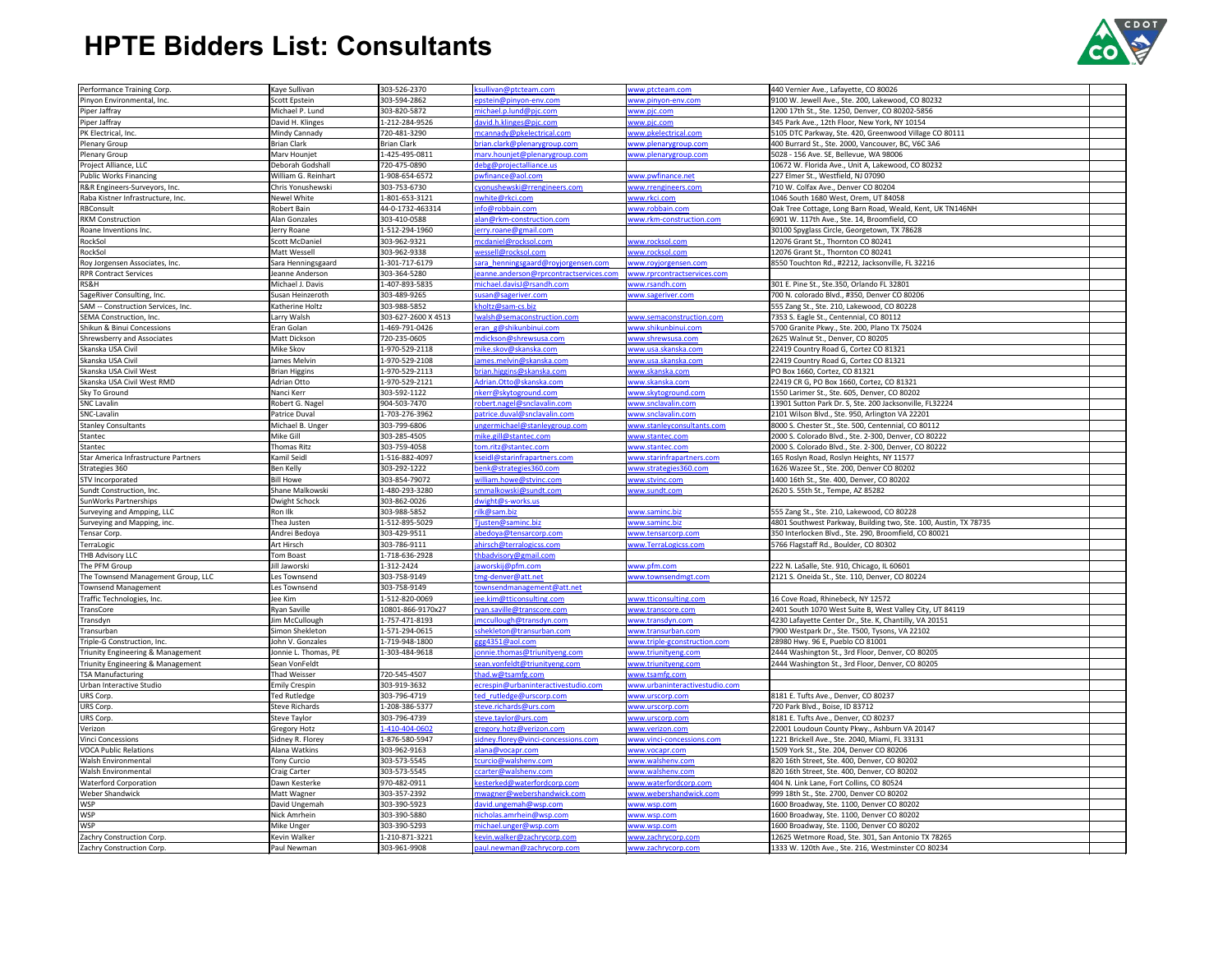| Performance Training Corp.           | Kaye Sullivan         | 303-526-2370        | csullivan@ptcteam.com                  | www.ptcteam.com                | 440 Vernier Ave., Lafayette, CO 80026                            |  |
|--------------------------------------|-----------------------|---------------------|----------------------------------------|--------------------------------|------------------------------------------------------------------|--|
| Pinyon Environmental, Inc.           | <b>Scott Epstein</b>  | 303-594-2862        | epstein@pinyon-env.com                 | www.pinyon-env.com             | 9100 W. Jewell Ave., Ste. 200, Lakewood, CO 80232                |  |
| Piper Jaffray                        | Michael P. Lund       | 303-820-5872        | michael.p.lund@pjc.com                 | www.pjc.com                    | 1200 17th St., Ste. 1250, Denver, CO 80202-5856                  |  |
| Piper Jaffray                        | David H. Klinges      | 1-212-284-9526      | lavid.h.klinges@pjc.com                | www.pjc.com                    | 345 Park Ave., 12th Floor, New York, NY 10154                    |  |
|                                      | Mindy Cannady         |                     |                                        |                                |                                                                  |  |
| PK Electrical, Inc.                  |                       | 720-481-3290        | mcannady@pkelectrical.com              | www.pkelectrical.com           | 5105 DTC Parkway, Ste. 420, Greenwood Village CO 80111           |  |
| <b>Plenary Group</b>                 | <b>Brian Clark</b>    | <b>Brian Clark</b>  | brian.clark@plenarygroup.com           | www.plenarygroup.com           | 400 Burrard St., Ste. 2000, Vancouver, BC, V6C 3A6               |  |
| <b>Plenary Group</b>                 | Marv Hounjet          | 1-425-495-0811      | narv.hounjet@plenarygroup.com          | www.plenarygroup.com           | 5028 - 156 Ave. SE, Bellevue, WA 98006                           |  |
| Project Alliance, LLC                | Deborah Godshall      | 720-475-0890        | debg@projectalliance.us                |                                | 10672 W. Florida Ave., Unit A, Lakewood, CO 80232                |  |
| <b>Public Works Financing</b>        | William G. Reinhart   | 1-908-654-6572      | owfinance@aol.com                      | www.pwfinance.net              | 227 Elmer St., Westfield, NJ 07090                               |  |
| R&R Engineers-Surveyors, Inc.        | Chris Yonushewski     | 303-753-6730        | cyonushewski@rrengineers.com           | www.rrengineers.com            | 710 W. Colfax Ave., Denver CO 80204                              |  |
|                                      | <b>Newel White</b>    |                     |                                        |                                |                                                                  |  |
| Raba Kistner Infrastructure, Inc.    |                       | 1-801-653-3121      | white@rkci.com                         | www.rkci.com                   | 1046 South 1680 West, Orem, UT 84058                             |  |
| RBConsult                            | Robert Bain           | 44-0-1732-463314    | nfo@robbain.com                        | www.robbain.com                | Oak Tree Cottage, Long Barn Road, Weald, Kent, UK TN146NH        |  |
| <b>RKM</b> Construction              | <b>Alan Gonzales</b>  | 303-410-0588        | alan@rkm-construction.com              | www.rkm-construction.com       | 6901 W. 117th Ave., Ste. 14, Broomfield, CO                      |  |
| Roane Inventions Inc.                | Jerry Roane           | 1-512-294-1960      | erry.roane@gmail.com                   |                                | 30100 Spyglass Circle, Georgetown, TX 78628                      |  |
| RockSol                              | <b>Scott McDaniel</b> | 303-962-9321        | ncdaniel@rocksol.com                   | www.rocksol.com                | 12076 Grant St., Thornton CO 80241                               |  |
| RockSol                              | Matt Wessell          | 303-962-9338        | wessell@rocksol.com                    | www.rocksol.com                | 12076 Grant St., Thornton CO 80241                               |  |
|                                      |                       | 1-301-717-6179      |                                        |                                | 8550 Touchton Rd., #2212, Jacksonville, FL 32216                 |  |
| Roy Jorgensen Associates, Inc.       | Sara Henningsgaard    |                     | sara henningsgaard@royjorgensen.com    | www.royjorgensen.com           |                                                                  |  |
| <b>RPR Contract Services</b>         | Jeanne Anderson       | 303-364-5280        | eanne.anderson@rprcontractservices.com | www.rprcontractservices.com    |                                                                  |  |
| RS&H                                 | Michael J. Davis      | 1-407-893-5835      | michael.davisJ@rsandh.com              | www.rsandh.com                 | 301 E. Pine St., Ste.350, Orlando FL 32801                       |  |
| SageRiver Consulting, Inc.           | Susan Heinzeroth      | 303-489-9265        | susan@sageriver.com                    | www.sageriver.com              | 700 N. colorado Blvd., #350, Denver CO 80206                     |  |
| SAM -- Construction Services, Inc.   | Katherine Holtz       | 303-988-5852        | holtz@sam-cs.biz                       |                                | 555 Zang St., Ste. 210, Lakewood, CO 80228                       |  |
| SEMA Construction, Inc.              | Larry Walsh           | 303-627-2600 X 4513 | walsh@semaconstruction.com             | www.semaconstruction.com       | 7353 S. Eagle St., Centennial, CO 80112                          |  |
|                                      |                       |                     |                                        |                                |                                                                  |  |
| Shikun & Binui Concessions           | Eran Golan            | 1-469-791-0426      | eran g@shikunbinui.com                 | ww <u>w.shikunbinui.com</u>    | 5700 Granite Pkwy., Ste. 200, Plano TX 75024                     |  |
| Shrewsberry and Associates           | Matt Dickson          | 720-235-0605        | mdickson@shrewsusa.com                 | www.shrewsusa.com              | 2625 Walnut St., Denver, CO 80205                                |  |
| Skanska USA Civil                    | Mike Skov             | 1-970-529-2118      | mike.skov@skanska.com                  | www.usa.skanska.com            | 22419 Country Road G, Cortez CO 81321                            |  |
| Skanska USA Civil                    | James Melvin          | 1-970-529-2108      | ames.melvin@skanska.com                | www.usa.skanska.com            | 22419 Country Road G, Cortez CO 81321                            |  |
| Skanska USA Civil West               | <b>Brian Higgins</b>  | 1-970-529-2113      | brian.higgins@skanska.com              | www.skanska.com                | PO Box 1660, Cortez, CO 81321                                    |  |
| Skanska USA Civil West RMD           | Adrian Otto           | 1-970-529-2121      | Adrian. Otto@skanska.com               | www.skanska.com                | 22419 CR G, PO Box 1660, Cortez, CO 81321                        |  |
|                                      |                       |                     |                                        |                                |                                                                  |  |
| Sky To Ground                        | Nanci Kerr            | 303-592-1122        | hkerr@skytoground.com                  | www.skytoground.com            | 1550 Larimer St., Ste. 605, Denver, CO 80202                     |  |
| <b>SNC Lavalin</b>                   | Robert G. Nagel       | 904-503-7470        | obert.nagel@snclavalin.com             | www.snclavalin.com             | 13901 Sutton Park Dr. S, Ste. 200 Jacksonville, FL32224          |  |
| SNC-Lavalin                          | Patrice Duval         | 1-703-276-3962      | patrice.duval@snclavalin.com           | www.snclavalin.com             | 2101 Wilson Blvd., Ste. 950, Arlington VA 22201                  |  |
| <b>Stanley Consultants</b>           | Michael B. Unger      | 303-799-6806        | ungermichael@stanleygroup.com          | www.stanleyconsultants.com     | 8000 S. Chester St., Ste. 500, Centennial, CO 80112              |  |
| Stantec                              | Mike Gill             | 303-285-4505        | mike.gill@stantec.com                  | www.stantec.com                | 2000 S. Colorado Blvd., Ste. 2-300, Denver, CO 80222             |  |
|                                      | <b>Thomas Ritz</b>    | 303-759-4058        | om.ritz@stantec.com                    |                                | 2000 S. Colorado Blvd., Ste. 2-300, Denver, CO 80222             |  |
| Stantec                              |                       |                     |                                        | www.stantec.com                |                                                                  |  |
| Star America Infrastructure Partners | Kamil Seidl           | 1-516-882-4097      | seidl@starinfrapartners.com            | www.starinfrapartners.com      | 165 Roslyn Road, Roslyn Heights, NY 11577                        |  |
| Strategies 360                       | <b>Ben Kelly</b>      | 303-292-1222        | oenk@strategies360.com                 | www.strategies360.com          | 1626 Wazee St., Ste. 200, Denver CO 80202                        |  |
| <b>STV Incorporated</b>              | <b>Bill Howe</b>      | 303-854-79072       | william.howe@stvinc.com                | www.stvinc.com                 | 1400 16th St., Ste. 400, Denver, CO 80202                        |  |
| Sundt Construction, Inc.             | Shane Malkowski       | 1-480-293-3280      | smmalkowski@sundt.com                  | www.sundt.com                  | 2620 S. 55th St., Tempe, AZ 85282                                |  |
| SunWorks Partnerships                | Dwight Schock         | 303-862-0026        | dwight@s-works.us                      |                                |                                                                  |  |
|                                      |                       |                     |                                        |                                |                                                                  |  |
| Surveying and Ampping, LLC           | Ron Ilk               | 303-988-5852        | ilk@sam.biz                            | www.saminc.biz                 | 555 Zang St., Ste. 210, Lakewood, CO 80228                       |  |
| Surveying and Mapping, inc.          | Thea Justen           | 1-512-895-5029      | justen@saminc.biz                      | www.saminc.biz                 | 4801 Southwest Parkway, Building two, Ste. 100, Austin, TX 78735 |  |
| Tensar Corp.                         | Andrei Bedoya         | 303-429-9511        | abe doya@tensar corp.com               | www.tensarcorp.com             | 350 Interlocken Blvd., Ste. 290, Broomfield, CO 80021            |  |
| TerraLogic                           | <b>Art Hirsch</b>     | 303-786-9111        | ahirsch@terralogicss.com               | www.TerraLogicss.com           | 5766 Flagstaff Rd., Boulder, CO 80302                            |  |
| THB Advisory LLC                     | <b>Tom Boast</b>      | 1-718-636-2928      | thbadvisory@gmail.com                  |                                |                                                                  |  |
| The PFM Group                        | Jill Jaworski         | 1-312-2424          | aworskij@pfm.com                       | www.pfm.com                    | 222 N. LaSalle, Ste. 910, Chicago, IL 60601                      |  |
|                                      |                       |                     |                                        |                                |                                                                  |  |
| The Townsend Management Group, LLC   | Les Townsend          | 303-758-9149        | tmg-denver@att.net                     | www.townsendmgt.com            | 2121 S. Oneida St., Ste. 110, Denver, CO 80224                   |  |
| <b>Townsend Management</b>           | Les Townsend          | 303-758-9149        | ownsendmanagement@att.net              |                                |                                                                  |  |
| Traffic Technologies, Inc.           | Jee Kim               | 1-512-820-0069      | ee.kim@tticonsulting.com               | www.tticonsulting.com          | 16 Cove Road, Rhinebeck, NY 12572                                |  |
| TransCore                            | Ryan Saville          | 10801-866-9170x27   | ryan.saville@transcore.com             | www.transcore.com              | 2401 South 1070 West Suite B, West Valley City, UT 84119         |  |
| Transdyn                             | Jim McCullough        | 1-757-471-8193      | mccullough@transdyn.com                | www.transdyn.com               | 4230 Lafayette Center Dr., Ste. K, Chantilly, VA 20151           |  |
| Transurban                           | Simon Shekleton       | 1-571-294-0615      | shekleton@transurban.com               | www.transurban.com             | 7900 Westpark Dr., Ste. T500, Tysons, VA 22102                   |  |
|                                      |                       |                     |                                        |                                |                                                                  |  |
| Triple-G Construction, Inc.          | John V. Gonzales      | 1-719-948-1800      | gg4351@aol.com                         | www.triple-gconstruction.com   | 28980 Hwy. 96 E, Pueblo CO 81001                                 |  |
| Triunity Engineering & Management    | Jonnie L. Thomas, PE  | 1-303-484-9618      | onnie.thomas@triunityeng.com           | www.triunityeng.com            | 2444 Washington St., 3rd Floor, Denver, CO 80205                 |  |
| Triunity Engineering & Management    | Sean VonFeldt         |                     | sean.vonfeldt@triunityeng.com          | www.triunityeng.com            | 2444 Washington St., 3rd Floor, Denver, CO 80205                 |  |
| <b>TSA Manufacturing</b>             | <b>Thad Weisser</b>   | 720-545-4507        | had.w@tsamfg.com                       | www.tsamfg.com                 |                                                                  |  |
| Urban Interactive Studio             | <b>Emily Crespin</b>  | 303-919-3632        | ecrespin@urbaninteractivestudio.com    | www.urbaninteractivestudio.com |                                                                  |  |
|                                      | <b>Ted Rutledge</b>   | 303-796-4719        | ed rutledge@urscorp.com                |                                | 8181 E. Tufts Ave., Denver, CO 80237                             |  |
| URS Corp.                            |                       |                     |                                        | www.urscorp.com                |                                                                  |  |
| URS Corp.                            | <b>Steve Richards</b> | 1-208-386-5377      | steve.richards@urs.com                 | www.urscorp.com                | 720 Park Blvd., Boise, ID 83712                                  |  |
| URS Corp.                            | <b>Steve Taylor</b>   | 303-796-4739        | teve.taylor@urs.com                    | www.urscorp.com                | 8181 E. Tufts Ave., Denver, CO 80237                             |  |
| Verizon                              | <b>Gregory Hotz</b>   | 1-410-404-0602      | gregory.hotz@verizon.com               | www.verizon.com                | 22001 Loudoun County Pkwy., Ashburn VA 20147                     |  |
| <b>Vinci Concessions</b>             | Sidney R. Florey      | 1-876-580-5947      | sidney.florey@vinci-concessions.com    | www.vinci-concessions.com      | 1221 Brickell Ave., Ste. 2040, Miami, FL 33131                   |  |
| <b>VOCA Public Relations</b>         | Alana Watkins         | 303-962-9163        | alana@vocapr.com                       | www.vocapr.com                 | 1509 York St., Ste. 204, Denver CO 80206                         |  |
|                                      |                       |                     |                                        |                                |                                                                  |  |
| <b>Walsh Environmental</b>           | <b>Tony Curcio</b>    | 303-573-5545        | curcio@walshenv.com                    | www.walshenv.com               | 820 16th Street, Ste. 400, Denver, CO 80202                      |  |
| <b>Walsh Environmental</b>           | <b>Craig Carter</b>   | 303-573-5545        | ccarter@walshenv.com                   | www.walshenv.com               | 820 16th Street, Ste. 400, Denver, CO 80202                      |  |
| <b>Waterford Corporation</b>         | Dawn Kesterke         | 970-482-0911        | cesterked@waterfordcorp.com            | www.waterfordcorp.com          | 404 N. Link Lane, Fort Collins, CO 80524                         |  |
| <b>Weber Shandwick</b>               | Matt Wagner           | 303-357-2392        | mwagner@webershandwick.com             | www.webershandwick.com         | 999 18th St., Ste. 2700, Denver CO 80202                         |  |
| <b>WSP</b>                           | David Ungemah         | 303-390-5923        | david.ungemah@wsp.com                  | www.wsp.com                    | 1600 Broadway, Ste. 1100, Denver CO 80202                        |  |
| <b>WSP</b>                           | Nick Amrhein          | 303-390-5880        | nicholas.amrhein@wsp.com               |                                | 1600 Broadway, Ste. 1100, Denver CO 80202                        |  |
|                                      |                       |                     |                                        | www.wsp.com                    |                                                                  |  |
| <b>WSP</b>                           | Mike Unger            | 303-390-5293        | michael.unger@wsp.com                  | www.wsp.com                    | 1600 Broadway, Ste. 1100, Denver CO 80202                        |  |
| Zachry Construction Corp.            | Kevin Walker          | 1-210-871-3221      | <u>cevin.walker@zachrycorp.com</u>     | www.zachrycorp.com             | 12625 Wetmore Road, Ste. 301, San Antonio TX 78265               |  |
| Zachry Construction Corp.            | Paul Newman           | 303-961-9908        | paul.newman@zachrycorp.com             | www.zachrycorp.com             | 1333 W. 120th Ave., Ste. 216, Westminster CO 80234               |  |
|                                      |                       |                     |                                        |                                |                                                                  |  |



## **HPTE Bidders List: Consultants**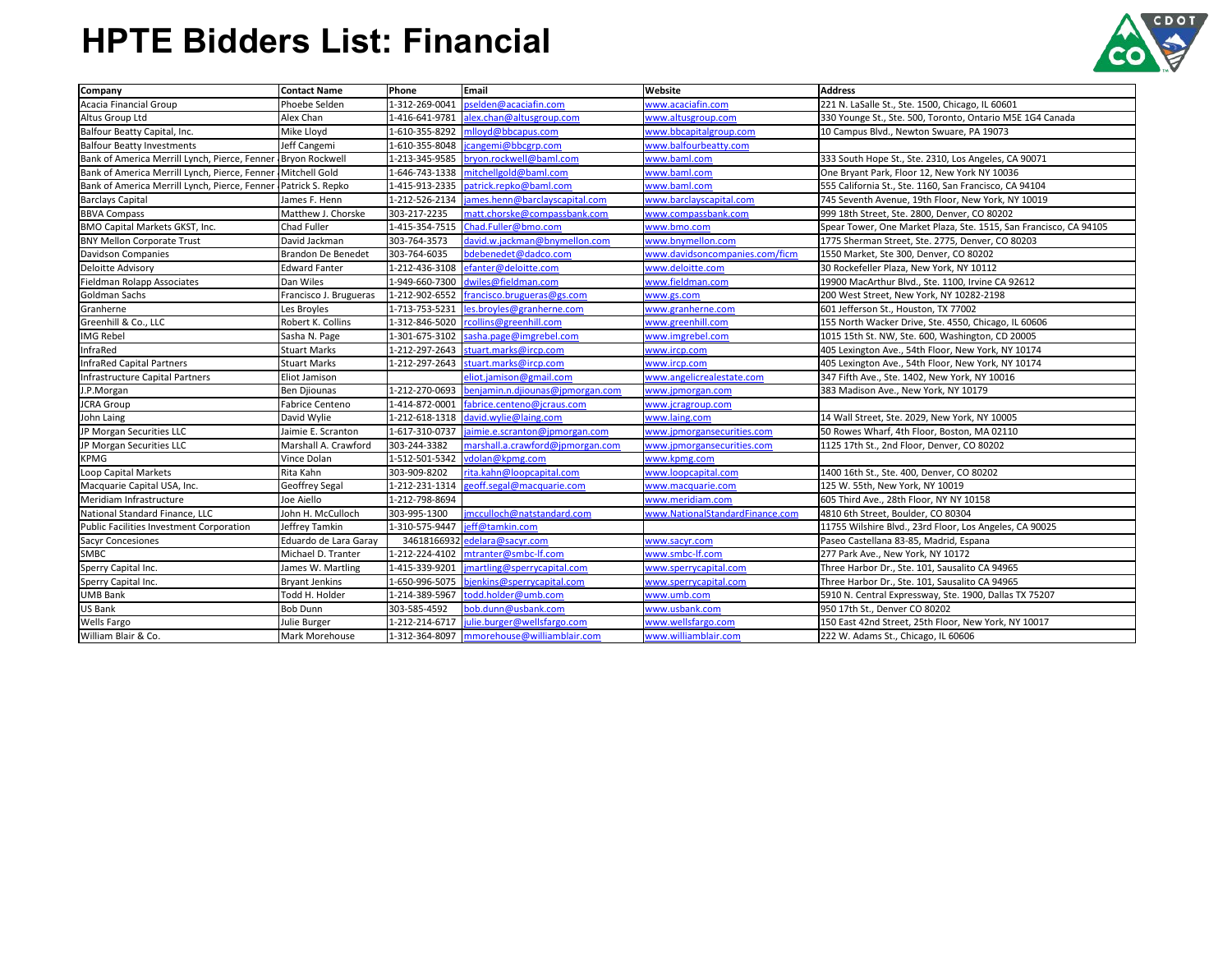| <b>Company</b>                                                   | <b>Contact Name</b>       | Phone          | <b>Email</b>                              | <b>Website</b>                  | <b>Address</b>                                                    |
|------------------------------------------------------------------|---------------------------|----------------|-------------------------------------------|---------------------------------|-------------------------------------------------------------------|
| Acacia Financial Group                                           | Phoebe Selden             | 1-312-269-0041 | pselden@acaciafin.com                     | www.acaciafin.com               | 221 N. LaSalle St., Ste. 1500, Chicago, IL 60601                  |
| Altus Group Ltd                                                  | Alex Chan                 | 1-416-641-9781 | alex.chan@altusgroup.com                  | www.altusgroup.com              | 330 Younge St., Ste. 500, Toronto, Ontario M5E 1G4 Canada         |
| Balfour Beatty Capital, Inc.                                     | Mike Lloyd                |                | 1-610-355-8292 mlloyd@bbcapus.com         | www.bbcapitalgroup.com          | 10 Campus Blvd., Newton Swuare, PA 19073                          |
| <b>Balfour Beatty Investments</b>                                | Jeff Cangemi              |                | 1-610-355-8048  jcangemi@bbcgrp.com       | www.balfourbeatty.com           |                                                                   |
| Bank of America Merrill Lynch, Pierce, Fenner   Bryon Rockwell   |                           | 1-213-345-9585 | bryon.rockwell@baml.com                   | www.baml.com                    | 333 South Hope St., Ste. 2310, Los Angeles, CA 90071              |
| Bank of America Merrill Lynch, Pierce, Fenner Mitchell Gold      |                           | 1-646-743-1338 | mitchellgold@baml.com                     | www.baml.com                    | One Bryant Park, Floor 12, New York NY 10036                      |
| Bank of America Merrill Lynch, Pierce, Fenner   Patrick S. Repko |                           | 1-415-913-2335 | patrick.repko@baml.com                    | www.baml.com                    | 555 California St., Ste. 1160, San Francisco, CA 94104            |
| <b>Barclays Capital</b>                                          | James F. Henn             | 1-212-526-2134 | james.henn@barclayscapital.com            | www.barclayscapital.com         | 745 Seventh Avenue, 19th Floor, New York, NY 10019                |
| <b>BBVA Compass</b>                                              | Matthew J. Chorske        | 303-217-2235   | matt.chorske@compassbank.com              | www.compassbank.com             | 999 18th Street, Ste. 2800, Denver, CO 80202                      |
| BMO Capital Markets GKST, Inc.                                   | Chad Fuller               | 1-415-354-7515 | Chad.Fuller@bmo.com                       | www.bmo.com                     | Spear Tower, One Market Plaza, Ste. 1515, San Francisco, CA 94105 |
| <b>BNY Mellon Corporate Trust</b>                                | David Jackman             | 303-764-3573   | david.w.jackman@bnymellon.com             | www.bnymellon.com               | 1775 Sherman Street, Ste. 2775, Denver, CO 80203                  |
| Davidson Companies                                               | <b>Brandon De Benedet</b> | 303-764-6035   | bdebenedet@dadco.com                      | www.davidsoncompanies.com/ficm  | 1550 Market, Ste 300, Denver, CO 80202                            |
| Deloitte Advisory                                                | <b>Edward Fanter</b>      | 1-212-436-3108 | efanter@deloitte.com                      | www.deloitte.com                | 30 Rockefeller Plaza, New York, NY 10112                          |
| Fieldman Rolapp Associates                                       | Dan Wiles                 |                | 1-949-660-7300 dwiles@fieldman.com        | www.fieldman.com                | 19900 MacArthur Blvd., Ste. 1100, Irvine CA 92612                 |
| Goldman Sachs                                                    | Francisco J. Brugueras    |                | 1-212-902-6552 francisco.brugueras@gs.com | www.gs.com                      | 200 West Street, New York, NY 10282-2198                          |
| Granherne                                                        | Les Broyles               |                | 1-713-753-5231 les.broyles@granherne.com  | www.granherne.com               | 601 Jefferson St., Houston, TX 77002                              |
| Greenhill & Co., LLC                                             | Robert K. Collins         | 1-312-846-5020 | rcollins@greenhill.com                    | www.greenhill.com               | 155 North Wacker Drive, Ste. 4550, Chicago, IL 60606              |
| <b>IMG Rebel</b>                                                 | Sasha N. Page             | 1-301-675-3102 | sasha.page@imgrebel.com                   | www.imgrebel.com                | 1015 15th St. NW, Ste. 600, Washington, CD 20005                  |
| InfraRed                                                         | <b>Stuart Marks</b>       |                | 1-212-297-2643 stuart.marks@ircp.com      | www.ircp.com                    | 405 Lexington Ave., 54th Floor, New York, NY 10174                |
| InfraRed Capital Partners                                        | <b>Stuart Marks</b>       | 1-212-297-2643 | stuart.marks@ircp.com                     | www.ircp.com                    | 405 Lexington Ave., 54th Floor, New York, NY 10174                |
| Infrastructure Capital Partners                                  | Eliot Jamison             |                | eliot.jamison@gmail.com                   | www.angelicrealestate.com       | 347 Fifth Ave., Ste. 1402, New York, NY 10016                     |
| J.P.Morgan                                                       | <b>Ben Djiounas</b>       | 1-212-270-0693 | benjamin.n.djiounas@jpmorgan.com          | www.jpmorgan.com                | 383 Madison Ave., New York, NY 10179                              |
| <b>JCRA Group</b>                                                | <b>Fabrice Centeno</b>    | 1-414-872-0001 | fabrice.centeno@jcraus.com                | www.jcragroup.com               |                                                                   |
| John Laing                                                       | David Wylie               |                | 1-212-618-1318 david.wylie@laing.com      | www.laing.com                   | 14 Wall Street, Ste. 2029, New York, NY 10005                     |
| JP Morgan Securities LLC                                         | Jaimie E. Scranton        | 1-617-310-0737 | jaimie.e.scranton@jpmorgan.com            | www.jpmorgansecurities.com      | 50 Rowes Wharf, 4th Floor, Boston, MA 02110                       |
| JP Morgan Securities LLC                                         | Marshall A. Crawford      | 303-244-3382   | marshall.a.crawford@jpmorgan.com          | www.jpmorgansecurities.com      | 1125 17th St., 2nd Floor, Denver, CO 80202                        |
| <b>KPMG</b>                                                      | Vince Dolan               | 1-512-501-5342 | vdolan@kpmg.com                           | www.kpmg.com                    |                                                                   |
| Loop Capital Markets                                             | Rita Kahn                 | 303-909-8202   | rita.kahn@loopcapital.com                 | www.loopcapital.com             | 1400 16th St., Ste. 400, Denver, CO 80202                         |
| Macquarie Capital USA, Inc.                                      | <b>Geoffrey Segal</b>     | 1-212-231-1314 | geoff.segal@macquarie.com                 | www.macquarie.com               | 125 W. 55th, New York, NY 10019                                   |
| Meridiam Infrastructure                                          | Joe Aiello                | 1-212-798-8694 |                                           | www.meridiam.com                | 605 Third Ave., 28th Floor, NY NY 10158                           |
| National Standard Finance, LLC                                   | John H. McCulloch         | 303-995-1300   | jmcculloch@natstandard.com                | www.NationalStandardFinance.com | 4810 6th Street, Boulder, CO 80304                                |
| Public Facilities Investment Corporation                         | Jeffrey Tamkin            | 1-310-575-9447 | jeff@tamkin.com                           |                                 | 11755 Wilshire Blvd., 23rd Floor, Los Angeles, CA 90025           |
| <b>Sacyr Concesiones</b>                                         | Eduardo de Lara Garay     |                | 34618166932 edelara@sacyr.com             | www.sacyr.com                   | Paseo Castellana 83-85, Madrid, Espana                            |
| <b>SMBC</b>                                                      | Michael D. Tranter        |                | 1-212-224-4102   mtranter@smbc-lf.com     | www.smbc-lf.com                 | 277 Park Ave., New York, NY 10172                                 |
| Sperry Capital Inc.                                              | James W. Martling         | 1-415-339-9201 | imartling@sperrycapital.com               | www.sperrycapital.com           | Three Harbor Dr., Ste. 101, Sausalito CA 94965                    |
| Sperry Capital Inc.                                              | <b>Bryant Jenkins</b>     | 1-650-996-5075 | bjenkins@sperrycapital.com                | www.sperrycapital.com           | Three Harbor Dr., Ste. 101, Sausalito CA 94965                    |
| <b>UMB Bank</b>                                                  | Todd H. Holder            | 1-214-389-5967 | todd.holder@umb.com                       | www.umb.com                     | 5910 N. Central Expressway, Ste. 1900, Dallas TX 75207            |
| US Bank                                                          | <b>Bob Dunn</b>           | 303-585-4592   | bob.dunn@usbank.com                       | www.usbank.com                  | 950 17th St., Denver CO 80202                                     |
| <b>Wells Fargo</b>                                               | Julie Burger              | 1-212-214-6717 | julie.burger@wellsfargo.com               | www.wellsfargo.com              | 150 East 42nd Street, 25th Floor, New York, NY 10017              |
| William Blair & Co.                                              | Mark Morehouse            | 1-312-364-8097 | mmorehouse@williamblair.com               | www.williamblair.com            | 222 W. Adams St., Chicago, IL 60606                               |



# **HPTE Bidders List: Financial**